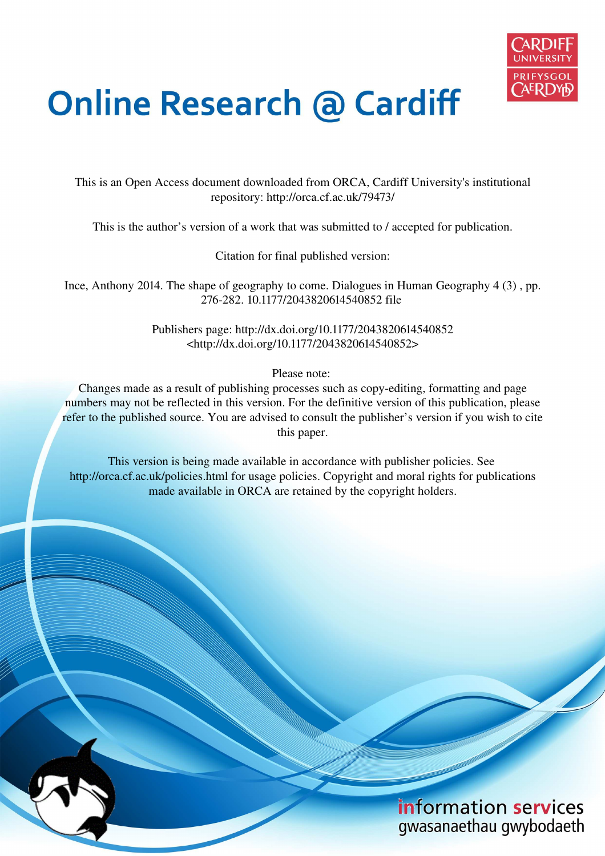

## **Online Research @ Cardiff**

This is an Open Access document downloaded from ORCA, Cardiff University's institutional repository: http://orca.cf.ac.uk/79473/

This is the author's version of a work that was submitted to / accepted for publication.

Citation for final published version:

Ince, Anthony 2014. The shape of geography to come. Dialogues in Human Geography 4 (3) , pp. 276-282. 10.1177/2043820614540852 file

> Publishers page: http://dx.doi.org/10.1177/2043820614540852 <http://dx.doi.org/10.1177/2043820614540852>

> > Please note:

Changes made as a result of publishing processes such as copy-editing, formatting and page numbers may not be reflected in this version. For the definitive version of this publication, please refer to the published source. You are advised to consult the publisher's version if you wish to cite this paper.

This version is being made available in accordance with publisher policies. See http://orca.cf.ac.uk/policies.html for usage policies. Copyright and moral rights for publications made available in ORCA are retained by the copyright holders.

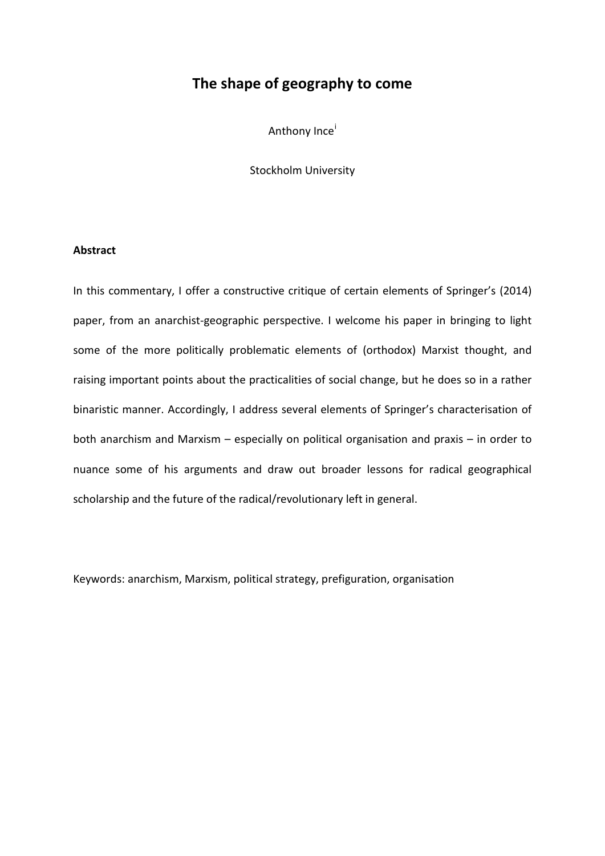## **The shape of geography to come**

Anthony Ince[i](#page-19-0)

Stockholm University

## **Abstract**

In this commentary, I offer a constructive critique of certain elements of Springer's (2014) paper, from an anarchist-geographic perspective. I welcome his paper in bringing to light some of the more politically problematic elements of (orthodox) Marxist thought, and raising important points about the practicalities of social change, but he does so in a rather binaristic manner. Accordingly, I address several elements of Springer's characterisation of both anarchism and Marxism – especially on political organisation and praxis – in order to nuance some of his arguments and draw out broader lessons for radical geographical scholarship and the future of the radical/revolutionary left in general.

Keywords: anarchism, Marxism, political strategy, prefiguration, organisation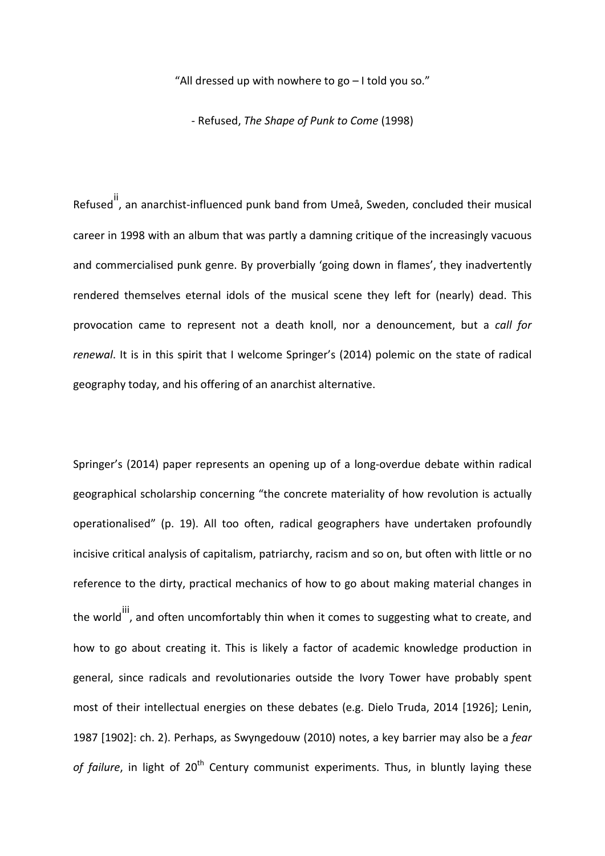"All dressed up with nowhere to go – I told you so."

- Refused, *The Shape of Punk to Come* (1998)

Refused<sup>[ii](#page-19-1)</sup>, an anarchist-influenced punk band from Umeå, Sweden, concluded their musical career in 1998 with an album that was partly a damning critique of the increasingly vacuous and commercialised punk genre. By proverbially 'going down in flames', they inadvertently rendered themselves eternal idols of the musical scene they left for (nearly) dead. This provocation came to represent not a death knoll, nor a denouncement, but a *call for renewal*. It is in this spirit that I welcome Springer's (2014) polemic on the state of radical geography today, and his offering of an anarchist alternative.

Springer's (2014) paper represents an opening up of a long-overdue debate within radical geographical scholarship concerning "the concrete materiality of how revolution is actually operationalised" (p. 19). All too often, radical geographers have undertaken profoundly incisive critical analysis of capitalism, patriarchy, racism and so on, but often with little or no reference to the dirty, practical mechanics of how to go about making material changes in the world  $\ddot{\phantom{a}}$ , and often uncomfortably thin when it comes to suggesting what to create, and how to go about creating it. This is likely a factor of academic knowledge production in general, since radicals and revolutionaries outside the Ivory Tower have probably spent most of their intellectual energies on these debates (e.g. Dielo Truda, 2014 [1926]; Lenin, 1987 [1902]: ch. 2). Perhaps, as Swyngedouw (2010) notes, a key barrier may also be a *fear*  of failure, in light of 20<sup>th</sup> Century communist experiments. Thus, in bluntly laying these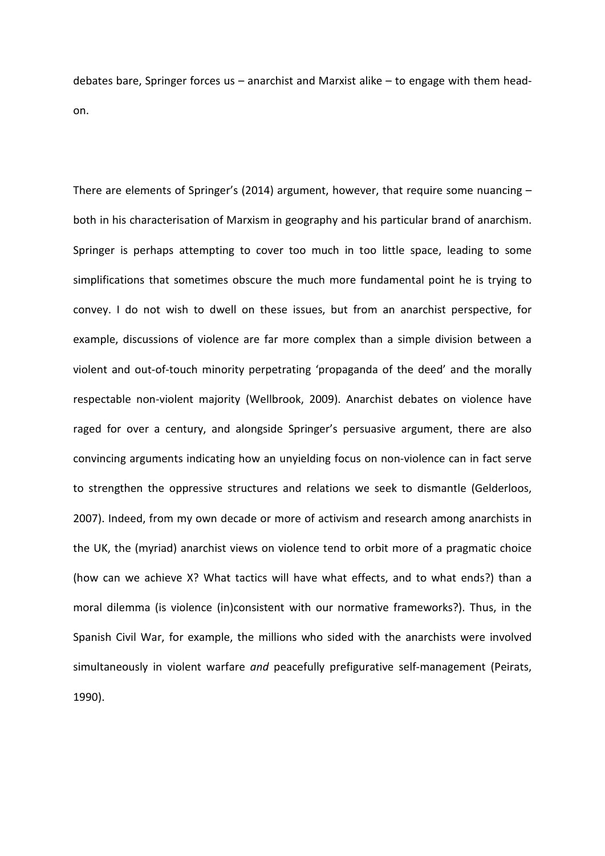debates bare, Springer forces us – anarchist and Marxist alike – to engage with them headon.

There are elements of Springer's (2014) argument, however, that require some nuancing – both in his characterisation of Marxism in geography and his particular brand of anarchism. Springer is perhaps attempting to cover too much in too little space, leading to some simplifications that sometimes obscure the much more fundamental point he is trying to convey. I do not wish to dwell on these issues, but from an anarchist perspective, for example, discussions of violence are far more complex than a simple division between a violent and out-of-touch minority perpetrating 'propaganda of the deed' and the morally respectable non-violent majority (Wellbrook, 2009). Anarchist debates on violence have raged for over a century, and alongside Springer's persuasive argument, there are also convincing arguments indicating how an unyielding focus on non-violence can in fact serve to strengthen the oppressive structures and relations we seek to dismantle (Gelderloos, 2007). Indeed, from my own decade or more of activism and research among anarchists in the UK, the (myriad) anarchist views on violence tend to orbit more of a pragmatic choice (how can we achieve X? What tactics will have what effects, and to what ends?) than a moral dilemma (is violence (in)consistent with our normative frameworks?). Thus, in the Spanish Civil War, for example, the millions who sided with the anarchists were involved simultaneously in violent warfare *and* peacefully prefigurative self-management (Peirats, 1990).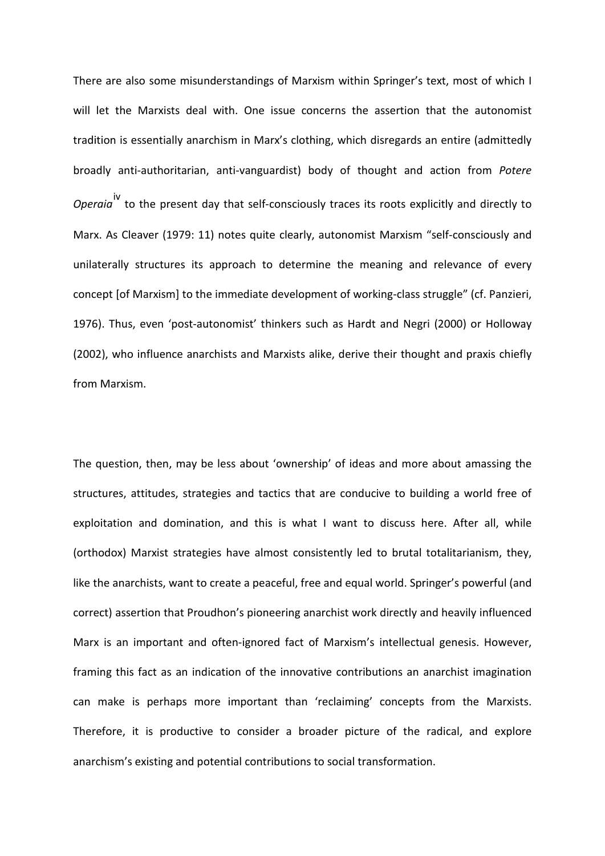There are also some misunderstandings of Marxism within Springer's text, most of which I will let the Marxists deal with. One issue concerns the assertion that the autonomist tradition is essentially anarchism in Marx's clothing, which disregards an entire (admittedly broadly anti-authoritarian, anti-vanguardist) body of thought and action from *Potere Operaia*<sup>[iv](#page-19-3)</sup> to the present day that self-consciously traces its roots explicitly and directly to Marx. As Cleaver (1979: 11) notes quite clearly, autonomist Marxism "self-consciously and unilaterally structures its approach to determine the meaning and relevance of every concept [of Marxism] to the immediate development of working-class struggle" (cf. Panzieri, 1976). Thus, even 'post-autonomist' thinkers such as Hardt and Negri (2000) or Holloway (2002), who influence anarchists and Marxists alike, derive their thought and praxis chiefly from Marxism.

The question, then, may be less about 'ownership' of ideas and more about amassing the structures, attitudes, strategies and tactics that are conducive to building a world free of exploitation and domination, and this is what I want to discuss here. After all, while (orthodox) Marxist strategies have almost consistently led to brutal totalitarianism, they, like the anarchists, want to create a peaceful, free and equal world. Springer's powerful (and correct) assertion that Proudhon's pioneering anarchist work directly and heavily influenced Marx is an important and often-ignored fact of Marxism's intellectual genesis. However, framing this fact as an indication of the innovative contributions an anarchist imagination can make is perhaps more important than 'reclaiming' concepts from the Marxists. Therefore, it is productive to consider a broader picture of the radical, and explore anarchism's existing and potential contributions to social transformation.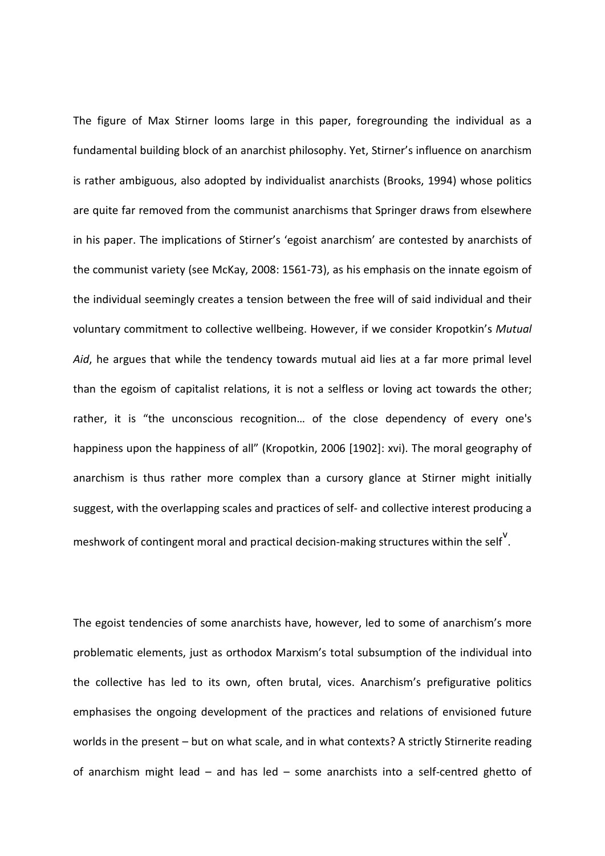The figure of Max Stirner looms large in this paper, foregrounding the individual as a fundamental building block of an anarchist philosophy. Yet, Stirner's influence on anarchism is rather ambiguous, also adopted by individualist anarchists (Brooks, 1994) whose politics are quite far removed from the communist anarchisms that Springer draws from elsewhere in his paper. The implications of Stirner's 'egoist anarchism' are contested by anarchists of the communist variety (see McKay, 2008: 1561-73), as his emphasis on the innate egoism of the individual seemingly creates a tension between the free will of said individual and their voluntary commitment to collective wellbeing. However, if we consider Kropotkin's *Mutual Aid*, he argues that while the tendency towards mutual aid lies at a far more primal level than the egoism of capitalist relations, it is not a selfless or loving act towards the other; rather, it is "the unconscious recognition… of the close dependency of every one's happiness upon the happiness of all" (Kropotkin, 2006 [1902]: xvi). The moral geography of anarchism is thus rather more complex than a cursory glance at Stirner might initially suggest, with the overlapping scales and practices of self- and collective interest producing a meshwork of contingent moral and practical decision-making structures within the self<sup>[v](#page-19-4)</sup>.

The egoist tendencies of some anarchists have, however, led to some of anarchism's more problematic elements, just as orthodox Marxism's total subsumption of the individual into the collective has led to its own, often brutal, vices. Anarchism's prefigurative politics emphasises the ongoing development of the practices and relations of envisioned future worlds in the present – but on what scale, and in what contexts? A strictly Stirnerite reading of anarchism might lead – and has led – some anarchists into a self-centred ghetto of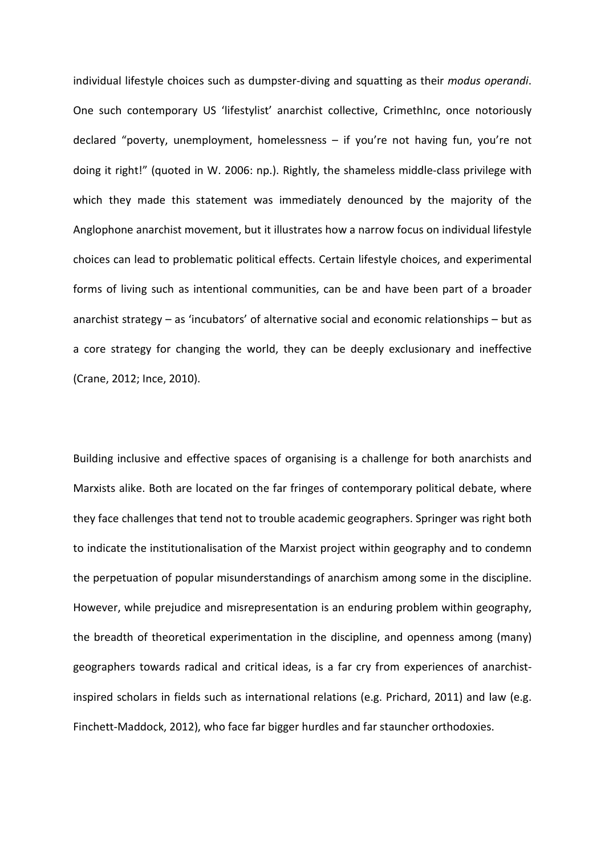individual lifestyle choices such as dumpster-diving and squatting as their *modus operandi*. One such contemporary US 'lifestylist' anarchist collective, CrimethInc, once notoriously declared "poverty, unemployment, homelessness – if you're not having fun, you're not doing it right!" (quoted in W. 2006: np.). Rightly, the shameless middle-class privilege with which they made this statement was immediately denounced by the majority of the Anglophone anarchist movement, but it illustrates how a narrow focus on individual lifestyle choices can lead to problematic political effects. Certain lifestyle choices, and experimental forms of living such as intentional communities, can be and have been part of a broader anarchist strategy – as 'incubators' of alternative social and economic relationships – but as a core strategy for changing the world, they can be deeply exclusionary and ineffective (Crane, 2012; Ince, 2010).

Building inclusive and effective spaces of organising is a challenge for both anarchists and Marxists alike. Both are located on the far fringes of contemporary political debate, where they face challenges that tend not to trouble academic geographers. Springer was right both to indicate the institutionalisation of the Marxist project within geography and to condemn the perpetuation of popular misunderstandings of anarchism among some in the discipline. However, while prejudice and misrepresentation is an enduring problem within geography, the breadth of theoretical experimentation in the discipline, and openness among (many) geographers towards radical and critical ideas, is a far cry from experiences of anarchistinspired scholars in fields such as international relations (e.g. Prichard, 2011) and law (e.g. Finchett-Maddock, 2012), who face far bigger hurdles and far stauncher orthodoxies.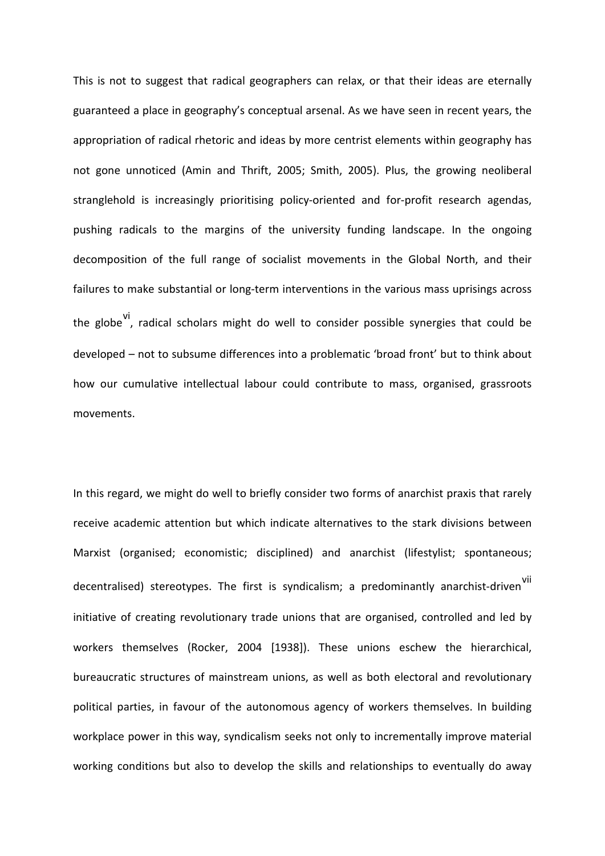This is not to suggest that radical geographers can relax, or that their ideas are eternally guaranteed a place in geography's conceptual arsenal. As we have seen in recent years, the appropriation of radical rhetoric and ideas by more centrist elements within geography has not gone unnoticed (Amin and Thrift, 2005; Smith, 2005). Plus, the growing neoliberal stranglehold is increasingly prioritising policy-oriented and for-profit research agendas, pushing radicals to the margins of the university funding landscape. In the ongoing decomposition of the full range of socialist movements in the Global North, and their failures to make substantial or long-term interventions in the various mass uprisings across the globe [vi](#page-19-5) radical scholars might do well to consider possible synergies that could be developed – not to subsume differences into a problematic 'broad front' but to think about how our cumulative intellectual labour could contribute to mass, organised, grassroots movements.

In this regard, we might do well to briefly consider two forms of anarchist praxis that rarely receive academic attention but which indicate alternatives to the stark divisions between Marxist (organised; economistic; disciplined) and anarchist (lifestylist; spontaneous; decentralised) stereotypes. The first is syndicalism; a predominantly anarchist-driven<sup>[vii](#page-19-6)</sup> initiative of creating revolutionary trade unions that are organised, controlled and led by workers themselves (Rocker, 2004 [1938]). These unions eschew the hierarchical, bureaucratic structures of mainstream unions, as well as both electoral and revolutionary political parties, in favour of the autonomous agency of workers themselves. In building workplace power in this way, syndicalism seeks not only to incrementally improve material working conditions but also to develop the skills and relationships to eventually do away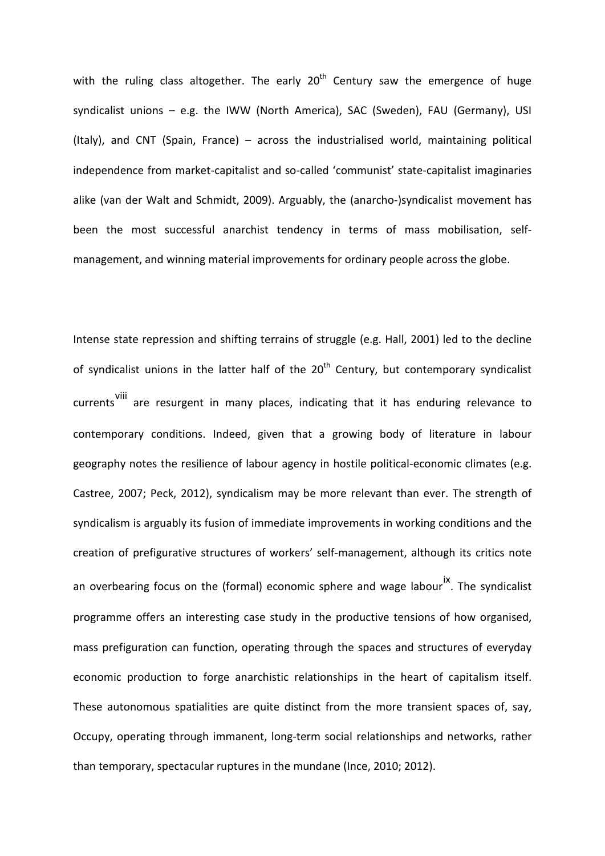with the ruling class altogether. The early  $20<sup>th</sup>$  Century saw the emergence of huge syndicalist unions – e.g. the IWW (North America), SAC (Sweden), FAU (Germany), USI (Italy), and CNT (Spain, France) – across the industrialised world, maintaining political independence from market-capitalist and so-called 'communist' state-capitalist imaginaries alike (van der Walt and Schmidt, 2009). Arguably, the (anarcho-)syndicalist movement has been the most successful anarchist tendency in terms of mass mobilisation, selfmanagement, and winning material improvements for ordinary people across the globe.

Intense state repression and shifting terrains of struggle (e.g. Hall, 2001) led to the decline of syndicalist unions in the latter half of the  $20<sup>th</sup>$  Century, but contemporary syndicalist currents [viii](#page-19-7) are resurgent in many places, indicating that it has enduring relevance to contemporary conditions. Indeed, given that a growing body of literature in labour geography notes the resilience of labour agency in hostile political-economic climates (e.g. Castree, 2007; Peck, 2012), syndicalism may be more relevant than ever. The strength of syndicalism is arguably its fusion of immediate improvements in working conditions and the creation of prefigurative structures of workers' self-management, although its critics note an overbearing focus on the (formal) economic sphere and wage labour <sup>[ix](#page-19-8)</sup>. The syndicalist programme offers an interesting case study in the productive tensions of how organised, mass prefiguration can function, operating through the spaces and structures of everyday economic production to forge anarchistic relationships in the heart of capitalism itself. These autonomous spatialities are quite distinct from the more transient spaces of, say, Occupy, operating through immanent, long-term social relationships and networks, rather than temporary, spectacular ruptures in the mundane (Ince, 2010; 2012).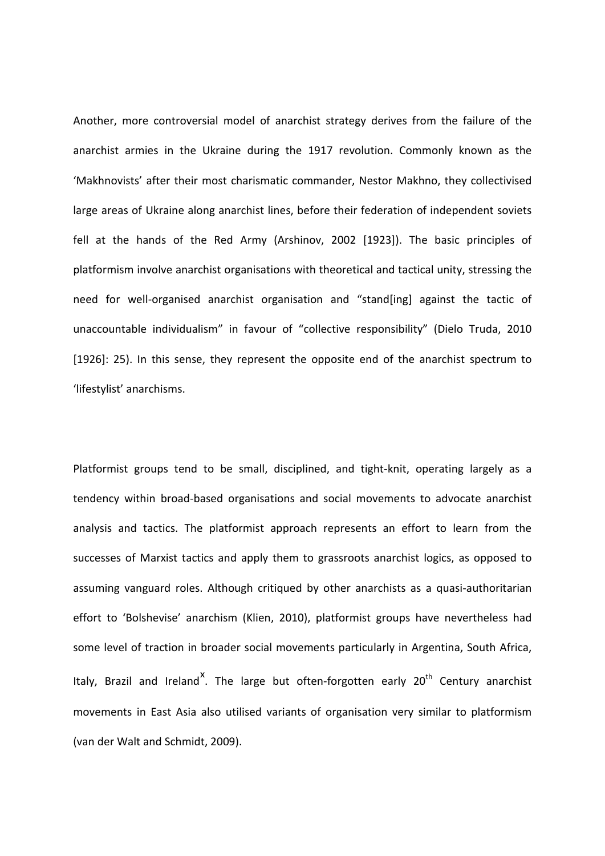Another, more controversial model of anarchist strategy derives from the failure of the anarchist armies in the Ukraine during the 1917 revolution. Commonly known as the 'Makhnovists' after their most charismatic commander, Nestor Makhno, they collectivised large areas of Ukraine along anarchist lines, before their federation of independent soviets fell at the hands of the Red Army (Arshinov, 2002 [1923]). The basic principles of platformism involve anarchist organisations with theoretical and tactical unity, stressing the need for well-organised anarchist organisation and "stand[ing] against the tactic of unaccountable individualism" in favour of "collective responsibility" (Dielo Truda, 2010 [1926]: 25). In this sense, they represent the opposite end of the anarchist spectrum to 'lifestylist' anarchisms.

Platformist groups tend to be small, disciplined, and tight-knit, operating largely as a tendency within broad-based organisations and social movements to advocate anarchist analysis and tactics. The platformist approach represents an effort to learn from the successes of Marxist tactics and apply them to grassroots anarchist logics, as opposed to assuming vanguard roles. Although critiqued by other anarchists as a quasi-authoritarian effort to 'Bolshevise' anarchism (Klien, 2010), platformist groups have nevertheless had some level of traction in broader social movements particularly in Argentina, South Africa, Italy, Brazil and Ireland<sup>[x](#page-19-9)</sup>. The large but often-forgotten early 20<sup>th</sup> Century anarchist movements in East Asia also utilised variants of organisation very similar to platformism (van der Walt and Schmidt, 2009).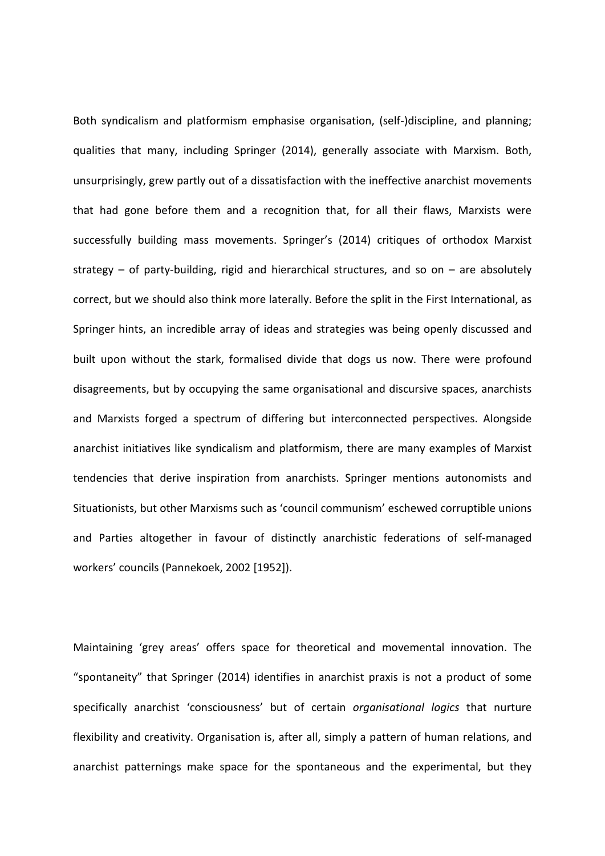Both syndicalism and platformism emphasise organisation, (self-)discipline, and planning; qualities that many, including Springer (2014), generally associate with Marxism. Both, unsurprisingly, grew partly out of a dissatisfaction with the ineffective anarchist movements that had gone before them and a recognition that, for all their flaws, Marxists were successfully building mass movements. Springer's (2014) critiques of orthodox Marxist strategy – of party-building, rigid and hierarchical structures, and so on – are absolutely correct, but we should also think more laterally. Before the split in the First International, as Springer hints, an incredible array of ideas and strategies was being openly discussed and built upon without the stark, formalised divide that dogs us now. There were profound disagreements, but by occupying the same organisational and discursive spaces, anarchists and Marxists forged a spectrum of differing but interconnected perspectives. Alongside anarchist initiatives like syndicalism and platformism, there are many examples of Marxist tendencies that derive inspiration from anarchists. Springer mentions autonomists and Situationists, but other Marxisms such as 'council communism' eschewed corruptible unions and Parties altogether in favour of distinctly anarchistic federations of self-managed workers' councils (Pannekoek, 2002 [1952]).

Maintaining 'grey areas' offers space for theoretical and movemental innovation. The "spontaneity" that Springer (2014) identifies in anarchist praxis is not a product of some specifically anarchist 'consciousness' but of certain *organisational logics* that nurture flexibility and creativity. Organisation is, after all, simply a pattern of human relations, and anarchist patternings make space for the spontaneous and the experimental, but they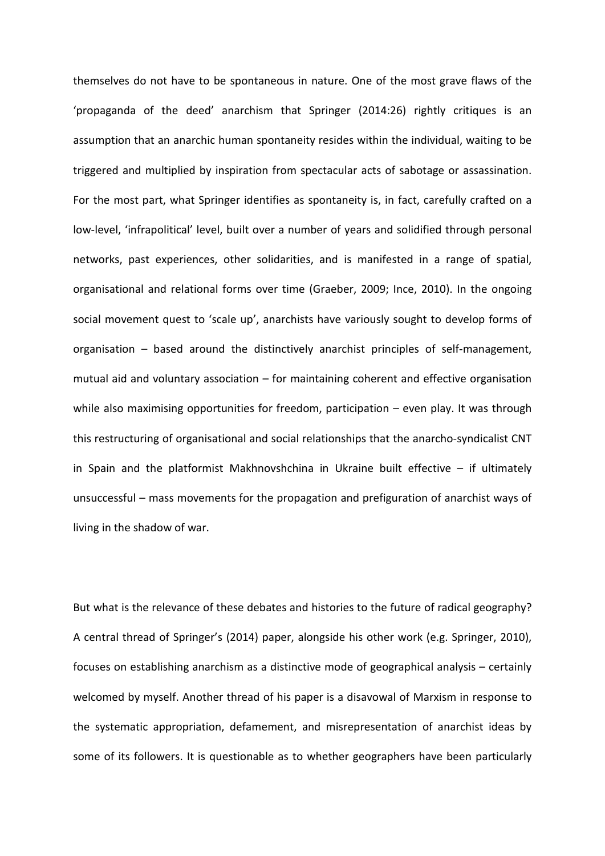themselves do not have to be spontaneous in nature. One of the most grave flaws of the 'propaganda of the deed' anarchism that Springer (2014:26) rightly critiques is an assumption that an anarchic human spontaneity resides within the individual, waiting to be triggered and multiplied by inspiration from spectacular acts of sabotage or assassination. For the most part, what Springer identifies as spontaneity is, in fact, carefully crafted on a low-level, 'infrapolitical' level, built over a number of years and solidified through personal networks, past experiences, other solidarities, and is manifested in a range of spatial, organisational and relational forms over time (Graeber, 2009; Ince, 2010). In the ongoing social movement quest to 'scale up', anarchists have variously sought to develop forms of organisation – based around the distinctively anarchist principles of self-management, mutual aid and voluntary association – for maintaining coherent and effective organisation while also maximising opportunities for freedom, participation – even play. It was through this restructuring of organisational and social relationships that the anarcho-syndicalist CNT in Spain and the platformist Makhnovshchina in Ukraine built effective  $-$  if ultimately unsuccessful – mass movements for the propagation and prefiguration of anarchist ways of living in the shadow of war.

But what is the relevance of these debates and histories to the future of radical geography? A central thread of Springer's (2014) paper, alongside his other work (e.g. Springer, 2010), focuses on establishing anarchism as a distinctive mode of geographical analysis – certainly welcomed by myself. Another thread of his paper is a disavowal of Marxism in response to the systematic appropriation, defamement, and misrepresentation of anarchist ideas by some of its followers. It is questionable as to whether geographers have been particularly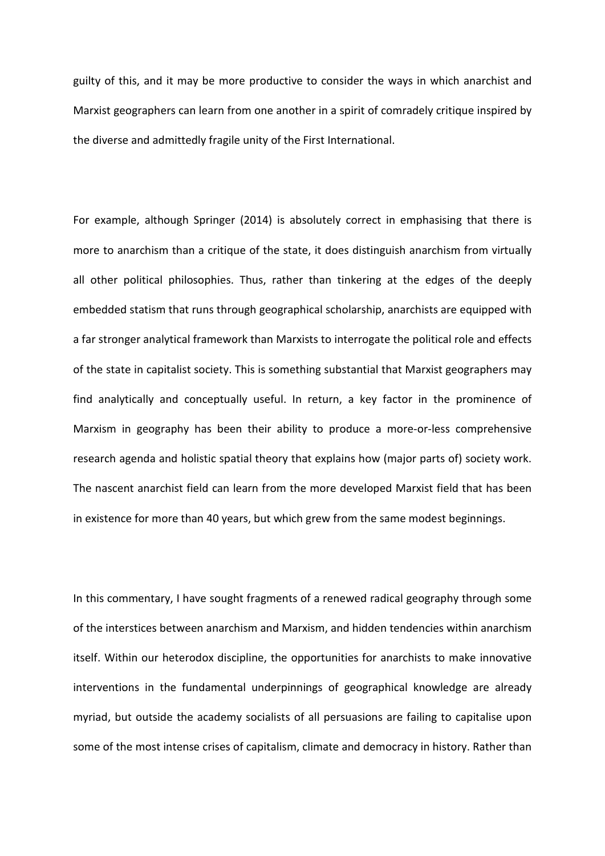guilty of this, and it may be more productive to consider the ways in which anarchist and Marxist geographers can learn from one another in a spirit of comradely critique inspired by the diverse and admittedly fragile unity of the First International.

For example, although Springer (2014) is absolutely correct in emphasising that there is more to anarchism than a critique of the state, it does distinguish anarchism from virtually all other political philosophies. Thus, rather than tinkering at the edges of the deeply embedded statism that runs through geographical scholarship, anarchists are equipped with a far stronger analytical framework than Marxists to interrogate the political role and effects of the state in capitalist society. This is something substantial that Marxist geographers may find analytically and conceptually useful. In return, a key factor in the prominence of Marxism in geography has been their ability to produce a more-or-less comprehensive research agenda and holistic spatial theory that explains how (major parts of) society work. The nascent anarchist field can learn from the more developed Marxist field that has been in existence for more than 40 years, but which grew from the same modest beginnings.

In this commentary, I have sought fragments of a renewed radical geography through some of the interstices between anarchism and Marxism, and hidden tendencies within anarchism itself. Within our heterodox discipline, the opportunities for anarchists to make innovative interventions in the fundamental underpinnings of geographical knowledge are already myriad, but outside the academy socialists of all persuasions are failing to capitalise upon some of the most intense crises of capitalism, climate and democracy in history. Rather than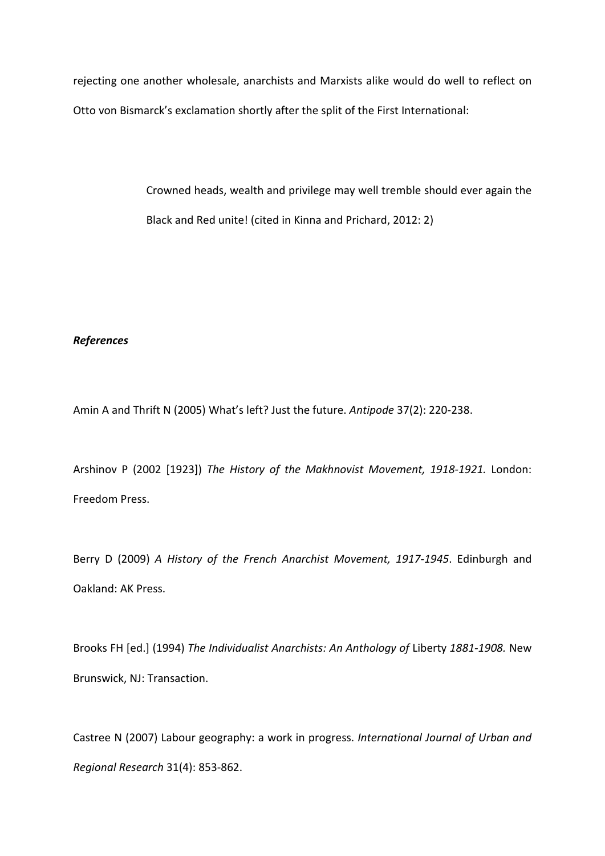rejecting one another wholesale, anarchists and Marxists alike would do well to reflect on Otto von Bismarck's exclamation shortly after the split of the First International:

> Crowned heads, wealth and privilege may well tremble should ever again the Black and Red unite! (cited in Kinna and Prichard, 2012: 2)

## *References*

Amin A and Thrift N (2005) What's left? Just the future. *Antipode* 37(2): 220-238.

Arshinov P (2002 [1923]) *The History of the Makhnovist Movement, 1918-1921.* London: Freedom Press.

Berry D (2009) *A History of the French Anarchist Movement, 1917-1945*. Edinburgh and Oakland: AK Press.

Brooks FH [ed.] (1994) *The Individualist Anarchists: An Anthology of* Liberty *1881-1908.* New Brunswick, NJ: Transaction.

Castree N (2007) Labour geography: a work in progress. *International Journal of Urban and Regional Research* 31(4): 853-862.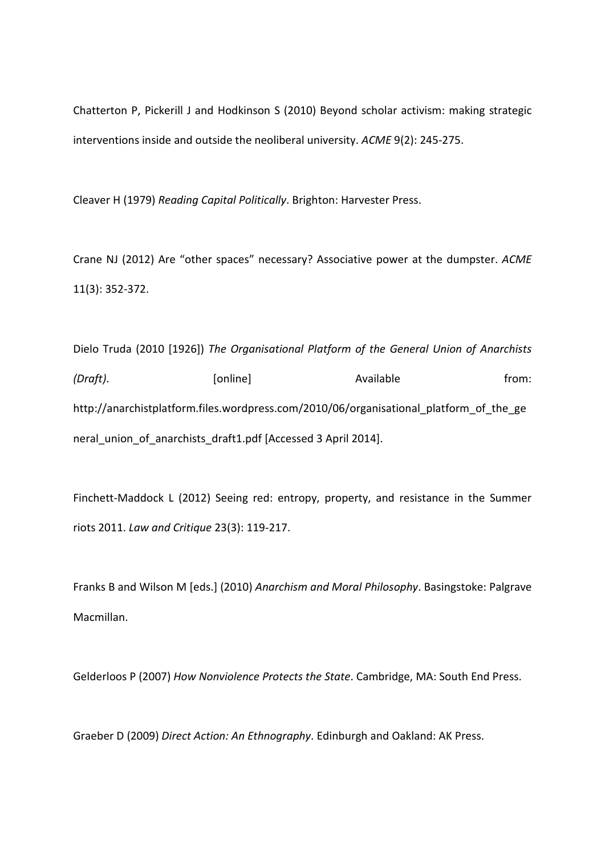Chatterton P, Pickerill J and Hodkinson S (2010) Beyond scholar activism: making strategic interventions inside and outside the neoliberal university. *ACME* 9(2): 245-275.

Cleaver H (1979) *Reading Capital Politically*. Brighton: Harvester Press.

Crane NJ (2012) Are "other spaces" necessary? Associative power at the dumpster. *ACME* 11(3): 352-372.

Dielo Truda (2010 [1926]) *The Organisational Platform of the General Union of Anarchists (Draft)*. [online] **Available** from: http://anarchistplatform.files.wordpress.com/2010/06/organisational\_platform\_of\_the\_ge neral\_union\_of\_anarchists\_draft1.pdf [Accessed 3 April 2014].

Finchett-Maddock L (2012) Seeing red: entropy, property, and resistance in the Summer riots 2011. *Law and Critique* 23(3): 119-217.

Franks B and Wilson M [eds.] (2010) *Anarchism and Moral Philosophy*. Basingstoke: Palgrave Macmillan.

Gelderloos P (2007) *How Nonviolence Protects the State*. Cambridge, MA: South End Press.

Graeber D (2009) *Direct Action: An Ethnography*. Edinburgh and Oakland: AK Press.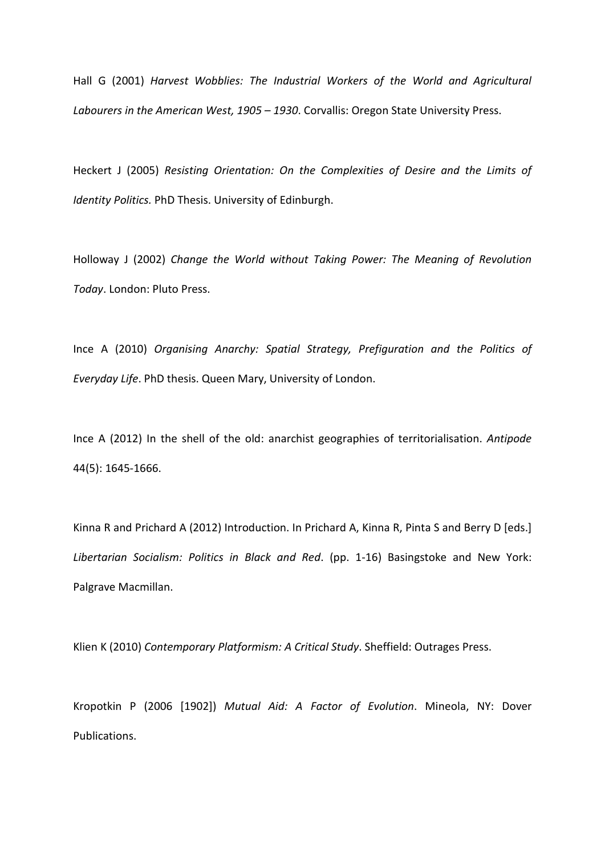Hall G (2001) *Harvest Wobblies: The Industrial Workers of the World and Agricultural Labourers in the American West, 1905 – 1930*. Corvallis: Oregon State University Press.

Heckert J (2005) *Resisting Orientation: On the Complexities of Desire and the Limits of Identity Politics.* PhD Thesis. University of Edinburgh.

Holloway J (2002) *Change the World without Taking Power: The Meaning of Revolution Today*. London: Pluto Press.

Ince A (2010) *Organising Anarchy: Spatial Strategy, Prefiguration and the Politics of Everyday Life*. PhD thesis. Queen Mary, University of London.

Ince A (2012) In the shell of the old: anarchist geographies of territorialisation. *Antipode* 44(5): 1645-1666.

Kinna R and Prichard A (2012) Introduction. In Prichard A, Kinna R, Pinta S and Berry D [eds.] *Libertarian Socialism: Politics in Black and Red*. (pp. 1-16) Basingstoke and New York: Palgrave Macmillan.

Klien K (2010) *Contemporary Platformism: A Critical Study*. Sheffield: Outrages Press.

Kropotkin P (2006 [1902]) *Mutual Aid: A Factor of Evolution*. Mineola, NY: Dover Publications.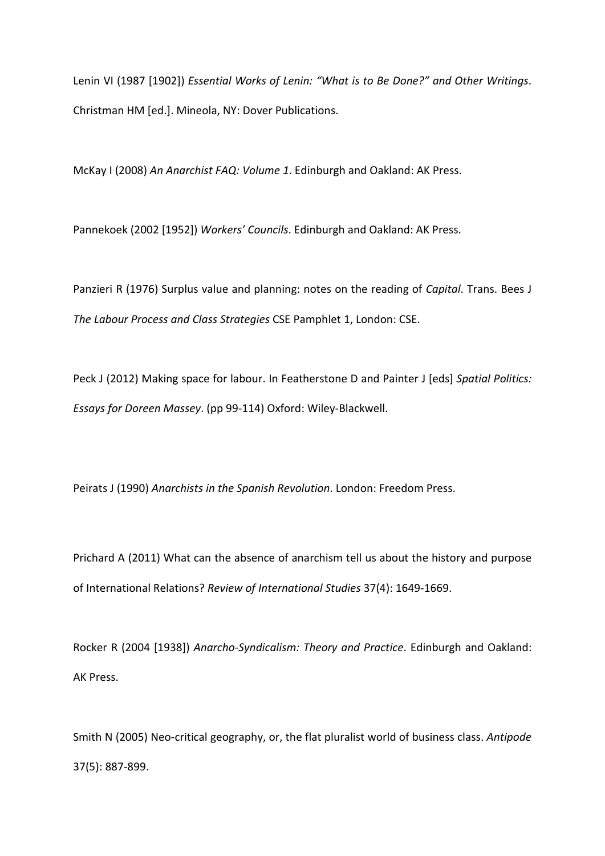Lenin VI (1987 [1902]) *Essential Works of Lenin: "What is to Be Done?" and Other Writings*. Christman HM [ed.]. Mineola, NY: Dover Publications.

McKay I (2008) *An Anarchist FAQ: Volume 1*. Edinburgh and Oakland: AK Press.

Pannekoek (2002 [1952]) *Workers' Councils*. Edinburgh and Oakland: AK Press.

Panzieri R (1976) Surplus value and planning: notes on the reading of *Capital*. Trans. Bees J *The Labour Process and Class Strategies* CSE Pamphlet 1, London: CSE.

Peck J (2012) Making space for labour. In Featherstone D and Painter J [eds] *Spatial Politics: Essays for Doreen Massey*. (pp 99-114) Oxford: Wiley-Blackwell.

Peirats J (1990) *Anarchists in the Spanish Revolution*. London: Freedom Press.

Prichard A (2011) What can the absence of anarchism tell us about the history and purpose of International Relations? *Review of International Studies* 37(4): 1649-1669.

Rocker R (2004 [1938]) *Anarcho-Syndicalism: Theory and Practice*. Edinburgh and Oakland: AK Press.

Smith N (2005) Neo-critical geography, or, the flat pluralist world of business class. *Antipode* 37(5): 887-899.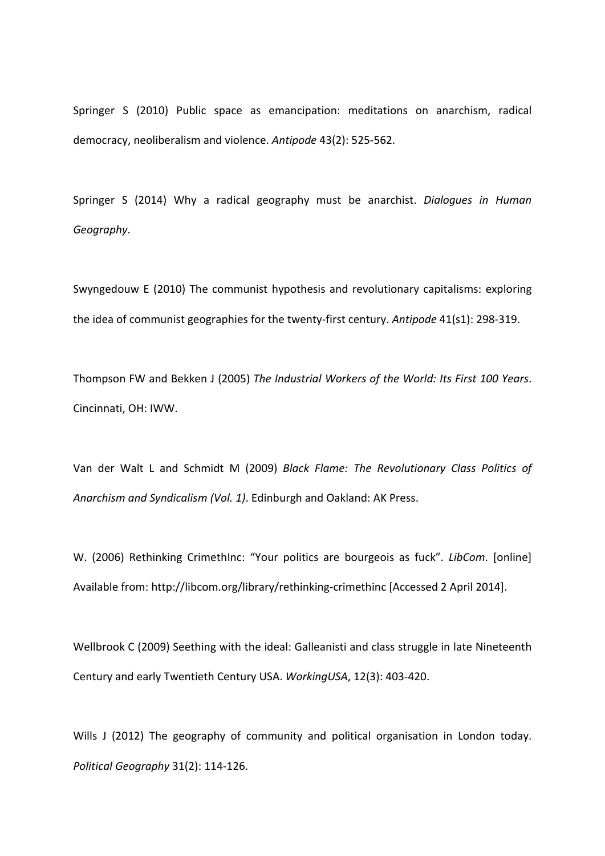Springer S (2010) Public space as emancipation: meditations on anarchism, radical democracy, neoliberalism and violence. *Antipode* 43(2): 525-562.

Springer S (2014) Why a radical geography must be anarchist. *Dialogues in Human Geography*.

Swyngedouw E (2010) The communist hypothesis and revolutionary capitalisms: exploring the idea of communist geographies for the twenty-first century. *Antipode* 41(s1): 298-319.

Thompson FW and Bekken J (2005) *The Industrial Workers of the World: Its First 100 Years*. Cincinnati, OH: IWW.

Van der Walt L and Schmidt M (2009) *Black Flame: The Revolutionary Class Politics of Anarchism and Syndicalism (Vol. 1)*. Edinburgh and Oakland: AK Press.

W. (2006) Rethinking CrimethInc: "Your politics are bourgeois as fuck". *LibCom*. [online] Available from: http://libcom.org/library/rethinking-crimethinc [Accessed 2 April 2014].

Wellbrook C (2009) Seething with the ideal: Galleanisti and class struggle in late Nineteenth Century and early Twentieth Century USA. *WorkingUSA*, 12(3): 403-420.

Wills J (2012) The geography of community and political organisation in London today. *Political Geography* 31(2): 114-126.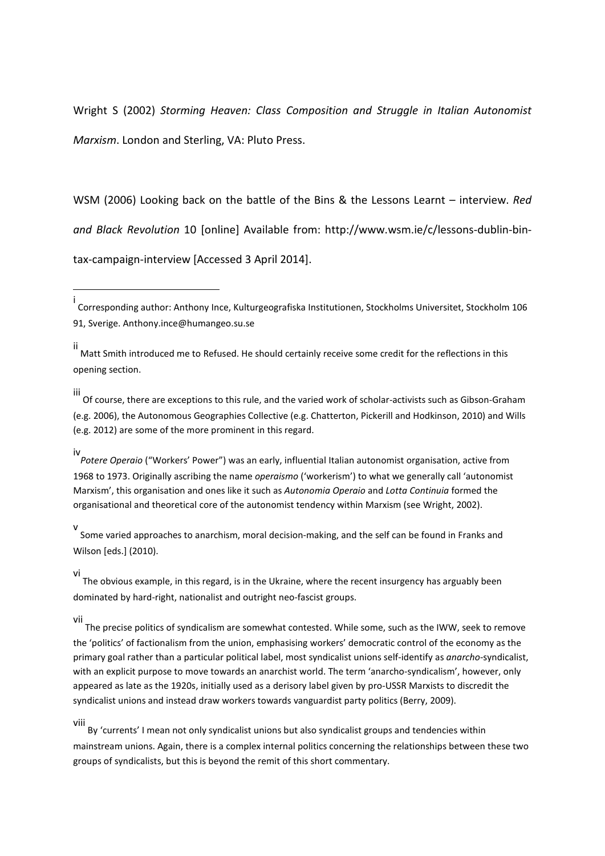Wright S (2002) *Storming Heaven: Class Composition and Struggle in Italian Autonomist Marxism*. London and Sterling, VA: Pluto Press.

WSM (2006) Looking back on the battle of the Bins & the Lessons Learnt – interview. *Red and Black Revolution* 10 [online] Available from: http://www.wsm.ie/c/lessons-dublin-bintax-campaign-interview [Accessed 3 April 2014].

iii Of course, there are exceptions to this rule, and the varied work of scholar-activists such as Gibson-Graham (e.g. 2006), the Autonomous Geographies Collective (e.g. Chatterton, Pickerill and Hodkinson, 2010) and Wills (e.g. 2012) are some of the more prominent in this regard.

iv *Potere Operaio* ("Workers' Power") was an early, influential Italian autonomist organisation, active from 1968 to 1973. Originally ascribing the name *operaismo* ('workerism') to what we generally call 'autonomist Marxism', this organisation and ones like it such as *Autonomia Operaio* and *Lotta Continuia* formed the organisational and theoretical core of the autonomist tendency within Marxism (see Wright, 2002).

v Some varied approaches to anarchism, moral decision-making, and the self can be found in Franks and Wilson [eds.] (2010).

vi The obvious example, in this regard, is in the Ukraine, where the recent insurgency has arguably been dominated by hard-right, nationalist and outright neo-fascist groups.

vii The precise politics of syndicalism are somewhat contested. While some, such as the IWW, seek to remove the 'politics' of factionalism from the union, emphasising workers' democratic control of the economy as the primary goal rather than a particular political label, most syndicalist unions self-identify as *anarcho*-syndicalist, with an explicit purpose to move towards an anarchist world. The term 'anarcho-syndicalism', however, only appeared as late as the 1920s, initially used as a derisory label given by pro-USSR Marxists to discredit the syndicalist unions and instead draw workers towards vanguardist party politics (Berry, 2009).

viii

<u>.</u>

By 'currents' I mean not only syndicalist unions but also syndicalist groups and tendencies within mainstream unions. Again, there is a complex internal politics concerning the relationships between these two groups of syndicalists, but this is beyond the remit of this short commentary.

i Corresponding author: Anthony Ince, Kulturgeografiska Institutionen, Stockholms Universitet, Stockholm 106 91, Sverige. Anthony.ince@humangeo.su.se

ii Matt Smith introduced me to Refused. He should certainly receive some credit for the reflections in this opening section.